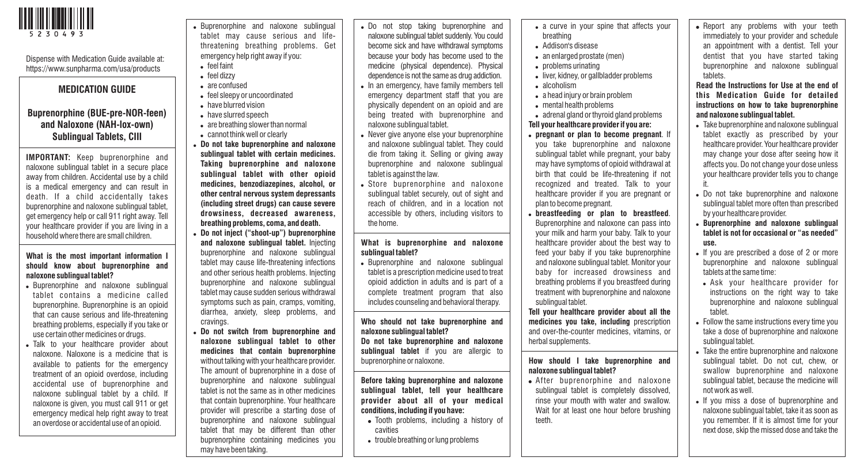

tablet may cause serious and lifethreatening breathing problems. Get emergency help right away if you:  $\bullet$  feel faint • feel dizzy • are confused • feel sleepy or uncoordinated • have blurred vision • have slurred speech • are breathing slower than normal • cannot think well or clearly ! **Do not take buprenorphine and naloxone sublingual tablet with certain medicines. Taking buprenorphine and naloxone sublingual tablet with other opioid** Dispense with Medication Guide available at: https://www.sunpharma.com/usa/products **MEDICATION GUIDE Buprenorphine (BUE-pre-NOR-feen) and Naloxone (NAH-lox-own) Sublingual Tablets, CIII IMPORTANT:** Keep buprenorphine and naloxone sublingual tablet in a secure place away from children. Accidental use by a child

is a medical emergency and can result in death. If a child accidentally takes buprenorphine and naloxone sublingual tablet, get emergency help or call 911 right away. Tell your healthcare provider if you are living in a household where there are small children.

#### **What is the most important information I should know about buprenorphine and naloxone sublingual tablet?**

- Buprenorphine and naloxone sublingual tablet contains a medicine called buprenorphine. Buprenorphine is an opioid that can cause serious and life-threatening breathing problems, especially if you take or use certain other medicines or drugs.
- . Talk to your healthcare provider about naloxone. Naloxone is a medicine that is available to patients for the emergency treatment of an opioid overdose, including accidental use of buprenorphine and naloxone sublingual tablet by a child. If naloxone is given, you must call 911 or get emergency medical help right away to treat an overdose or accidental use of an opioid.

• Buprenorphine and naloxone sublingual

- **medicines, benzodiazepines, alcohol, or other central nervous system depressants (including street drugs) can cause severe drowsiness, decreased awareness, breathing problems, coma, and death.**
- ! **Do not inject ("shoot-up") buprenorphine and naloxone sublingual tablet.** Injecting buprenorphine and naloxone sublingual tablet may cause life-threatening infections and other serious health problems. Injecting buprenorphine and naloxone sublingual tablet may cause sudden serious withdrawal symptoms such as pain, cramps, vomiting, diarrhea, anxiety, sleep problems, and cravings.
- ! **Do not switch from buprenorphine and naloxone sublingual tablet to other medicines that contain buprenorphine** without talking with your healthcare provider. The amount of buprenorphine in a dose of buprenorphine and naloxone sublingual tablet is not the same as in other medicines that contain buprenorphine. Your healthcare provider will prescribe a starting dose of buprenorphine and naloxone sublingual tablet that may be different than other buprenorphine containing medicines you may have been taking.

. Do not stop taking buprenorphine and naloxone sublingual tablet suddenly. You could become sick and have withdrawal symptoms because your body has become used to the medicine (physical dependence). Physical dependence is not the same as drug addiction.

- In an emergency, have family members tell emergency department staff that you are physically dependent on an opioid and are being treated with buprenorphine and naloxone sublingual tablet.
- . Never give anyone else your buprenorphine and naloxone sublingual tablet. They could die from taking it. Selling or giving away buprenorphine and naloxone sublingual tablet is against the law.
- Store buprenorphine and naloxone sublingual tablet securely, out of sight and reach of children, and in a location not accessible by others, including visitors to the home.

#### **What is buprenorphine and naloxone sublingual tablet?**

• Buprenorphine and naloxone sublingual tablet is a prescription medicine used to treat opioid addiction in adults and is part of a complete treatment program that also includes counseling and behavioral therapy.

#### **Who should not take buprenorphine and naloxone sublingual tablet? Do not take buprenorphine and naloxone sublingual tablet** if you are allergic to buprenorphine or naloxone.

#### **Before taking buprenorphine and naloxone sublingual tablet, tell your healthcare provider about all of your medical conditions, including if you have:**

- Tooth problems, including a history of cavities
- trouble breathing or lung problems
- a curve in your spine that affects your breathing
- Addison's disease
- an enlarged prostate (men)
- problems urinating
- . liver, kidney, or gallbladder problems
- . alcoholism
- a head injury or brain problem
- mental health problems
- . adrenal gland or thyroid gland problems **Tell your healthcare provider if you are:**
- ! **pregnant or plan to become pregnant**. If you take buprenorphine and naloxone sublingual tablet while pregnant, your baby may have symptoms of opioid withdrawal at birth that could be life-threatening if not recognized and treated. Talk to your healthcare provider if you are pregnant or plan to become pregnant.
- ! **breastfeeding or plan to breastfeed**. Buprenorphine and naloxone can pass into your milk and harm your baby. Talk to your healthcare provider about the best way to feed your baby if you take buprenorphine and naloxone sublingual tablet. Monitor your baby for increased drowsiness and breathing problems if you breastfeed during treatment with buprenorphine and naloxone sublingual tablet.

**Tell your healthcare provider about all the medicines you take, including** prescription and over-the-counter medicines, vitamins, or herbal supplements.

## **How should I take buprenorphine and naloxone sublingual tablet?**

• After buprenorphine and naloxone sublingual tablet is completely dissolved, rinse your mouth with water and swallow. Wait for at least one hour before brushing teeth.

• Report any problems with your teeth immediately to your provider and schedule an appointment with a dentist. Tell your dentist that you have started taking buprenorphine and naloxone sublingual tablets.

**Read the Instructions for Use at the end of this Medication Guide for detailed instructions on how to take buprenorphine and naloxone sublingual tablet.**

- . Take buprenorphine and naloxone sublingual tablet exactly as prescribed by your healthcare provider. Your healthcare provider may change your dose after seeing how it affects you. Do not change your dose unless your healthcare provider tells you to change it.
- Do not take buprenorphine and naloxone sublingual tablet more often than prescribed by your healthcare provider.
- ! **Buprenorphine and naloxone sublingual tablet is not for occasional or "as needed" use.**
- If you are prescribed a dose of 2 or more buprenorphine and naloxone sublingual tablets at the same time:
- . Ask your healthcare provider for instructions on the right way to take buprenorphine and naloxone sublingual tablet.
- Follow the same instructions every time you take a dose of buprenorphine and naloxone sublingual tablet.
- . Take the entire buprenorphine and naloxone sublingual tablet. Do not cut, chew, or swallow buprenorphine and naloxone sublingual tablet, because the medicine will not work as well.
- . If you miss a dose of buprenorphine and naloxone sublingual tablet, take it as soon as you remember. If it is almost time for your next dose, skip the missed dose and take the